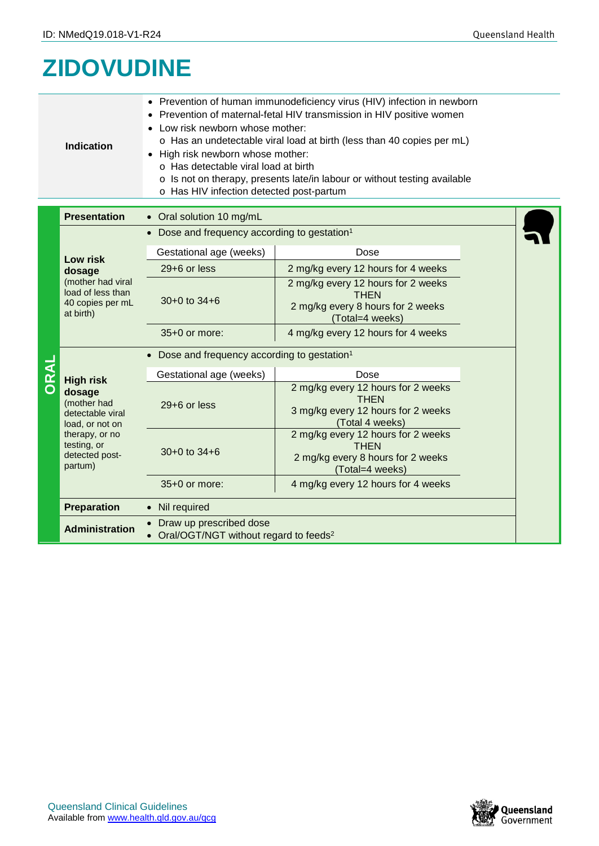## **ZIDOVUDINE**

| <b>Indication</b> | o Has an undetectable viral load at birth (less than 40 copies per mL)<br>• High risk newborn whose mother:<br>o Has detectable viral load at birth<br>○ Is not on therapy, presents late/in labour or without testing available<br>o Has HIV infection detected post-partum |
|-------------------|------------------------------------------------------------------------------------------------------------------------------------------------------------------------------------------------------------------------------------------------------------------------------|
|                   | • Prevention of human immunodeficiency virus (HIV) infection in newborn<br>• Prevention of maternal-fetal HIV transmission in HIV positive women<br>• Low risk newborn whose mother:                                                                                         |

|  | Presentation<br>Oral solution TO mo/mL                                                                                                         |                                                                                |                                                                                                            |  |
|--|------------------------------------------------------------------------------------------------------------------------------------------------|--------------------------------------------------------------------------------|------------------------------------------------------------------------------------------------------------|--|
|  |                                                                                                                                                | • Dose and frequency according to gestation <sup>1</sup>                       |                                                                                                            |  |
|  | Low risk<br>dosage<br>(mother had viral<br>load of less than<br>40 copies per mL<br>at birth)                                                  | Gestational age (weeks)                                                        | Dose                                                                                                       |  |
|  |                                                                                                                                                | 29+6 or less                                                                   | 2 mg/kg every 12 hours for 4 weeks                                                                         |  |
|  |                                                                                                                                                | $30+0$ to $34+6$                                                               | 2 mg/kg every 12 hours for 2 weeks<br><b>THEN</b><br>2 mg/kg every 8 hours for 2 weeks<br>(Total=4 weeks)  |  |
|  |                                                                                                                                                | 35+0 or more:                                                                  | 4 mg/kg every 12 hours for 4 weeks                                                                         |  |
|  |                                                                                                                                                | • Dose and frequency according to gestation <sup>1</sup>                       |                                                                                                            |  |
|  | <b>High risk</b><br>dosage<br>(mother had<br>detectable viral<br>load, or not on<br>therapy, or no<br>testing, or<br>detected post-<br>partum) | Gestational age (weeks)                                                        | Dose                                                                                                       |  |
|  |                                                                                                                                                | 29+6 or less                                                                   | 2 mg/kg every 12 hours for 2 weeks<br><b>THEN</b><br>3 mg/kg every 12 hours for 2 weeks<br>(Total 4 weeks) |  |
|  |                                                                                                                                                | $30+0$ to $34+6$                                                               | 2 mg/kg every 12 hours for 2 weeks<br><b>THEN</b><br>2 mg/kg every 8 hours for 2 weeks<br>(Total=4 weeks)  |  |
|  |                                                                                                                                                | $35+0$ or more:                                                                | 4 mg/kg every 12 hours for 4 weeks                                                                         |  |
|  | <b>Preparation</b>                                                                                                                             | • Nil required                                                                 |                                                                                                            |  |
|  | <b>Administration</b>                                                                                                                          | • Draw up prescribed dose<br>Oral/OGT/NGT without regard to feeds <sup>2</sup> |                                                                                                            |  |

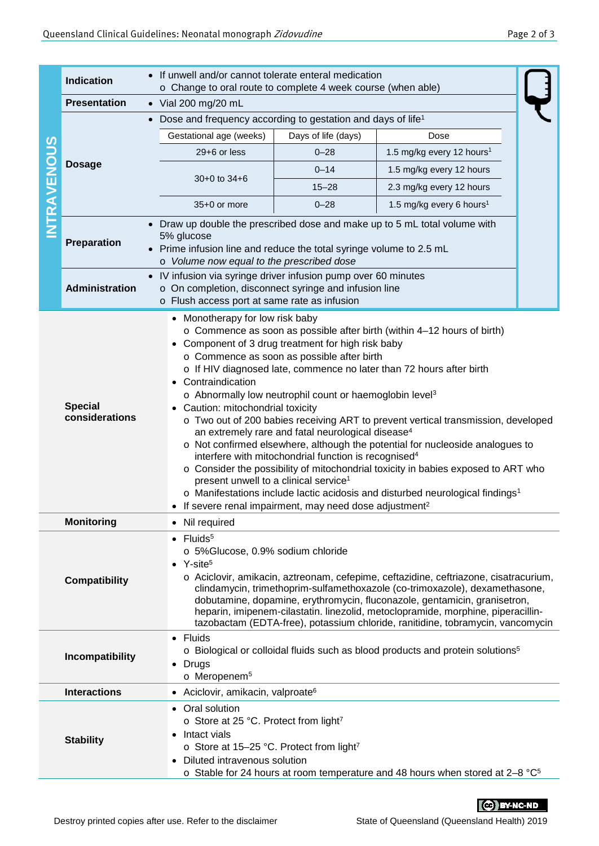|                    | If unwell and/or cannot tolerate enteral medication<br><b>Indication</b><br>o Change to oral route to complete 4 week course (when able)                                                                                                                                                                                                                                                                                                                                                                                                                                                                                                                                                                                                                                                                                                                                                                                                                                                                                                         |                                                                                                                                                                                                                                                                                                                                                                                                                                                                                                                     |                                                   |  |  |
|--------------------|--------------------------------------------------------------------------------------------------------------------------------------------------------------------------------------------------------------------------------------------------------------------------------------------------------------------------------------------------------------------------------------------------------------------------------------------------------------------------------------------------------------------------------------------------------------------------------------------------------------------------------------------------------------------------------------------------------------------------------------------------------------------------------------------------------------------------------------------------------------------------------------------------------------------------------------------------------------------------------------------------------------------------------------------------|---------------------------------------------------------------------------------------------------------------------------------------------------------------------------------------------------------------------------------------------------------------------------------------------------------------------------------------------------------------------------------------------------------------------------------------------------------------------------------------------------------------------|---------------------------------------------------|--|--|
|                    | <b>Presentation</b>                                                                                                                                                                                                                                                                                                                                                                                                                                                                                                                                                                                                                                                                                                                                                                                                                                                                                                                                                                                                                              | $\bullet$ Vial 200 mg/20 mL                                                                                                                                                                                                                                                                                                                                                                                                                                                                                         |                                                   |  |  |
|                    | Dose and frequency according to gestation and days of life <sup>1</sup><br>$\bullet$                                                                                                                                                                                                                                                                                                                                                                                                                                                                                                                                                                                                                                                                                                                                                                                                                                                                                                                                                             |                                                                                                                                                                                                                                                                                                                                                                                                                                                                                                                     |                                                   |  |  |
|                    | <b>Dosage</b>                                                                                                                                                                                                                                                                                                                                                                                                                                                                                                                                                                                                                                                                                                                                                                                                                                                                                                                                                                                                                                    | Gestational age (weeks)                                                                                                                                                                                                                                                                                                                                                                                                                                                                                             | Days of life (days)<br>Dose                       |  |  |
|                    |                                                                                                                                                                                                                                                                                                                                                                                                                                                                                                                                                                                                                                                                                                                                                                                                                                                                                                                                                                                                                                                  | 29+6 or less                                                                                                                                                                                                                                                                                                                                                                                                                                                                                                        | 1.5 mg/kg every 12 hours <sup>1</sup><br>$0 - 28$ |  |  |
|                    |                                                                                                                                                                                                                                                                                                                                                                                                                                                                                                                                                                                                                                                                                                                                                                                                                                                                                                                                                                                                                                                  |                                                                                                                                                                                                                                                                                                                                                                                                                                                                                                                     | $0 - 14$<br>1.5 mg/kg every 12 hours              |  |  |
|                    |                                                                                                                                                                                                                                                                                                                                                                                                                                                                                                                                                                                                                                                                                                                                                                                                                                                                                                                                                                                                                                                  | $30+0$ to $34+6$                                                                                                                                                                                                                                                                                                                                                                                                                                                                                                    | $15 - 28$<br>2.3 mg/kg every 12 hours             |  |  |
|                    |                                                                                                                                                                                                                                                                                                                                                                                                                                                                                                                                                                                                                                                                                                                                                                                                                                                                                                                                                                                                                                                  | 35+0 or more                                                                                                                                                                                                                                                                                                                                                                                                                                                                                                        | $0 - 28$<br>1.5 mg/kg every 6 hours <sup>1</sup>  |  |  |
| <b>INTRAVENOUS</b> | Preparation                                                                                                                                                                                                                                                                                                                                                                                                                                                                                                                                                                                                                                                                                                                                                                                                                                                                                                                                                                                                                                      | Draw up double the prescribed dose and make up to 5 mL total volume with<br>5% glucose<br>Prime infusion line and reduce the total syringe volume to 2.5 mL<br>o Volume now equal to the prescribed dose                                                                                                                                                                                                                                                                                                            |                                                   |  |  |
|                    |                                                                                                                                                                                                                                                                                                                                                                                                                                                                                                                                                                                                                                                                                                                                                                                                                                                                                                                                                                                                                                                  | • IV infusion via syringe driver infusion pump over 60 minutes                                                                                                                                                                                                                                                                                                                                                                                                                                                      |                                                   |  |  |
|                    | Administration                                                                                                                                                                                                                                                                                                                                                                                                                                                                                                                                                                                                                                                                                                                                                                                                                                                                                                                                                                                                                                   | o On completion, disconnect syringe and infusion line<br>o Flush access port at same rate as infusion                                                                                                                                                                                                                                                                                                                                                                                                               |                                                   |  |  |
|                    |                                                                                                                                                                                                                                                                                                                                                                                                                                                                                                                                                                                                                                                                                                                                                                                                                                                                                                                                                                                                                                                  | • Monotherapy for low risk baby                                                                                                                                                                                                                                                                                                                                                                                                                                                                                     |                                                   |  |  |
|                    | o Commence as soon as possible after birth (within 4-12 hours of birth)<br>• Component of 3 drug treatment for high risk baby<br>o Commence as soon as possible after birth<br>o If HIV diagnosed late, commence no later than 72 hours after birth<br>Contraindication<br>o Abnormally low neutrophil count or haemoglobin level <sup>3</sup><br><b>Special</b><br>• Caution: mitochondrial toxicity<br>considerations<br>o Two out of 200 babies receiving ART to prevent vertical transmission, developed<br>an extremely rare and fatal neurological disease <sup>4</sup><br>o Not confirmed elsewhere, although the potential for nucleoside analogues to<br>interfere with mitochondrial function is recognised <sup>4</sup><br>o Consider the possibility of mitochondrial toxicity in babies exposed to ART who<br>present unwell to a clinical service <sup>1</sup><br>o Manifestations include lactic acidosis and disturbed neurological findings <sup>1</sup><br>• If severe renal impairment, may need dose adjustment <sup>2</sup> |                                                                                                                                                                                                                                                                                                                                                                                                                                                                                                                     |                                                   |  |  |
|                    | <b>Monitoring</b>                                                                                                                                                                                                                                                                                                                                                                                                                                                                                                                                                                                                                                                                                                                                                                                                                                                                                                                                                                                                                                | • Nil required                                                                                                                                                                                                                                                                                                                                                                                                                                                                                                      |                                                   |  |  |
|                    | <b>Compatibility</b>                                                                                                                                                                                                                                                                                                                                                                                                                                                                                                                                                                                                                                                                                                                                                                                                                                                                                                                                                                                                                             | $\bullet$ Fluids <sup>5</sup><br>o 5%Glucose, 0.9% sodium chloride<br>• $Y\text{-site}^5$<br>o Aciclovir, amikacin, aztreonam, cefepime, ceftazidine, ceftriazone, cisatracurium,<br>clindamycin, trimethoprim-sulfamethoxazole (co-trimoxazole), dexamethasone,<br>dobutamine, dopamine, erythromycin, fluconazole, gentamicin, granisetron,<br>heparin, imipenem-cilastatin. linezolid, metoclopramide, morphine, piperacillin-<br>tazobactam (EDTA-free), potassium chloride, ranitidine, tobramycin, vancomycin |                                                   |  |  |
|                    | Incompatibility                                                                                                                                                                                                                                                                                                                                                                                                                                                                                                                                                                                                                                                                                                                                                                                                                                                                                                                                                                                                                                  | • Fluids<br>o Biological or colloidal fluids such as blood products and protein solutions <sup>5</sup><br>$\bullet$ Drugs<br>o Meropenem <sup>5</sup>                                                                                                                                                                                                                                                                                                                                                               |                                                   |  |  |
|                    | <b>Interactions</b>                                                                                                                                                                                                                                                                                                                                                                                                                                                                                                                                                                                                                                                                                                                                                                                                                                                                                                                                                                                                                              | • Aciclovir, amikacin, valproate <sup>6</sup>                                                                                                                                                                                                                                                                                                                                                                                                                                                                       |                                                   |  |  |
|                    | <b>Stability</b>                                                                                                                                                                                                                                                                                                                                                                                                                                                                                                                                                                                                                                                                                                                                                                                                                                                                                                                                                                                                                                 | • Oral solution<br>o Store at 25 °C. Protect from light7<br>• Intact vials<br>o Store at 15-25 °C. Protect from light <sup>7</sup><br>Diluted intravenous solution<br>$\circ$ Stable for 24 hours at room temperature and 48 hours when stored at 2-8 °C <sup>5</sup>                                                                                                                                                                                                                                               |                                                   |  |  |

CC BY-NC-ND